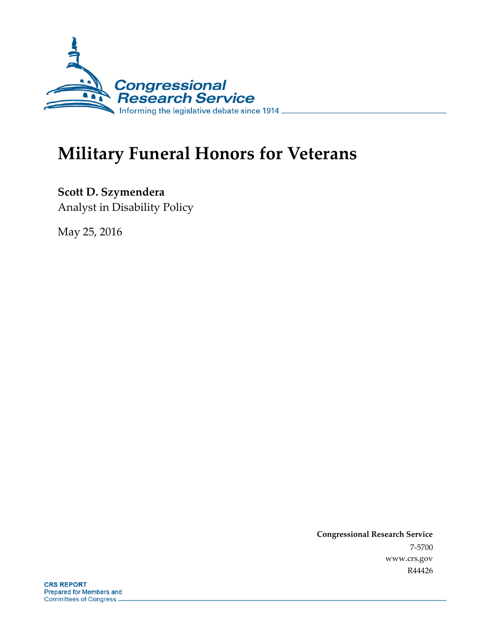

# **Military Funeral Honors for Veterans**

**Scott D. Szymendera** Analyst in Disability Policy

May 25, 2016

**Congressional Research Service** 7-5700 www.crs.gov R44426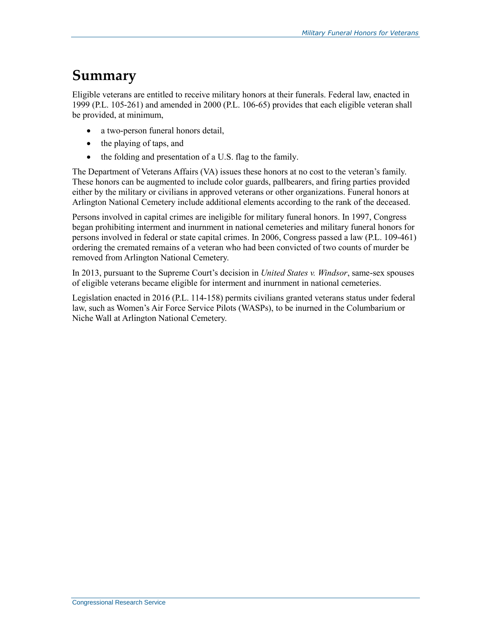### **Summary**

Eligible veterans are entitled to receive military honors at their funerals. Federal law, enacted in 1999 (P.L. 105-261) and amended in 2000 (P.L. 106-65) provides that each eligible veteran shall be provided, at minimum,

- a two-person funeral honors detail,
- the playing of taps, and
- the folding and presentation of a U.S. flag to the family.

The Department of Veterans Affairs (VA) issues these honors at no cost to the veteran's family. These honors can be augmented to include color guards, pallbearers, and firing parties provided either by the military or civilians in approved veterans or other organizations. Funeral honors at Arlington National Cemetery include additional elements according to the rank of the deceased.

Persons involved in capital crimes are ineligible for military funeral honors. In 1997, Congress began prohibiting interment and inurnment in national cemeteries and military funeral honors for persons involved in federal or state capital crimes. In 2006, Congress passed a law (P.L. 109-461) ordering the cremated remains of a veteran who had been convicted of two counts of murder be removed from Arlington National Cemetery.

In 2013, pursuant to the Supreme Court's decision in *United States v. Windsor*, same-sex spouses of eligible veterans became eligible for interment and inurnment in national cemeteries.

Legislation enacted in 2016 (P.L. 114-158) permits civilians granted veterans status under federal law, such as Women's Air Force Service Pilots (WASPs), to be inurned in the Columbarium or Niche Wall at Arlington National Cemetery.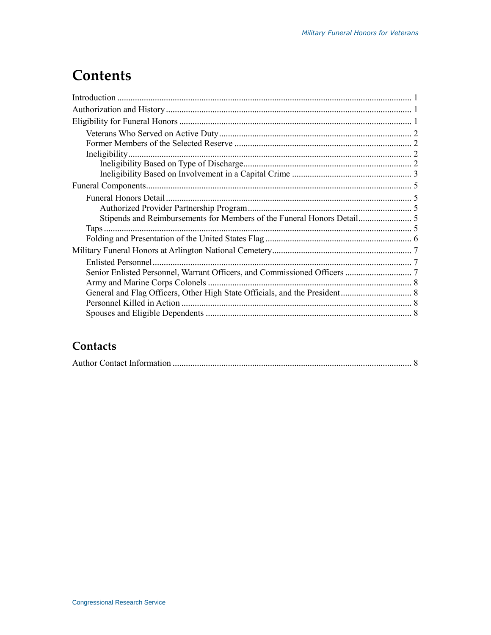## **Contents**

#### Contacts

|--|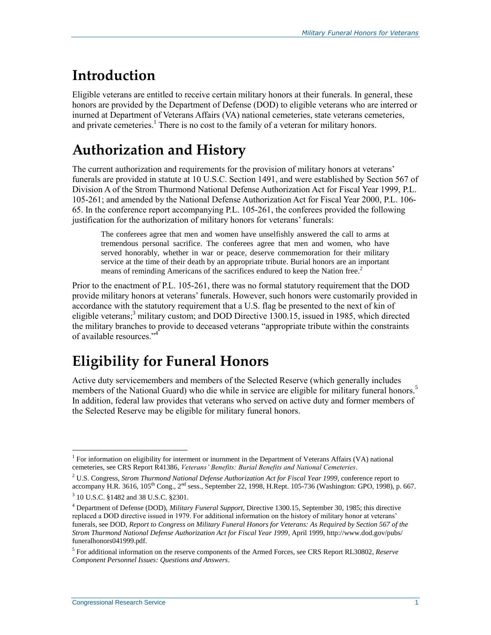## **Introduction**

Eligible veterans are entitled to receive certain military honors at their funerals. In general, these honors are provided by the Department of Defense (DOD) to eligible veterans who are interred or inurned at Department of Veterans Affairs (VA) national cemeteries, state veterans cemeteries, and private cemeteries.<sup>1</sup> There is no cost to the family of a veteran for military honors.

## **Authorization and History**

The current authorization and requirements for the provision of military honors at veterans' funerals are provided in statute at 10 U.S.C. Section 1491, and were established by Section 567 of Division A of the Strom Thurmond National Defense Authorization Act for Fiscal Year 1999, P.L. 105-261; and amended by the National Defense Authorization Act for Fiscal Year 2000, P.L. 106- 65. In the conference report accompanying P.L. 105-261, the conferees provided the following justification for the authorization of military honors for veterans' funerals:

The conferees agree that men and women have unselfishly answered the call to arms at tremendous personal sacrifice. The conferees agree that men and women, who have served honorably, whether in war or peace, deserve commemoration for their military service at the time of their death by an appropriate tribute. Burial honors are an important means of reminding Americans of the sacrifices endured to keep the Nation free.<sup>2</sup>

Prior to the enactment of P.L. 105-261, there was no formal statutory requirement that the DOD provide military honors at veterans' funerals. However, such honors were customarily provided in accordance with the statutory requirement that a U.S. flag be presented to the next of kin of eligible veterans; <sup>3</sup> military custom; and DOD Directive 1300.15, issued in 1985, which directed the military branches to provide to deceased veterans "appropriate tribute within the constraints of available resources."<sup>4</sup>

## **Eligibility for Funeral Honors**

Active duty servicemembers and members of the Selected Reserve (which generally includes members of the National Guard) who die while in service are eligible for military funeral honors.<sup>5</sup> In addition, federal law provides that veterans who served on active duty and former members of the Selected Reserve may be eligible for military funeral honors.

 $\overline{a}$ <sup>1</sup> For information on eligibility for interment or inurnment in the Department of Veterans Affairs (VA) national cemeteries, see CRS Report R41386, *Veterans' Benefits: Burial Benefits and National Cemeteries*.

<sup>2</sup> U.S. Congress, *Strom Thurmond National Defense Authorization Act for Fiscal Year 1999*, conference report to accompany H.R. 3616,  $105<sup>th</sup>$  Cong.,  $2<sup>nd</sup>$  sess., September 22, 1998, H.Rept. 105-736 (Washington: GPO, 1998), p. 667.

<sup>3</sup> 10 U.S.C. §1482 and 38 U.S.C. §2301.

<sup>4</sup> Department of Defense (DOD), *Military Funeral Support*, Directive 1300.15, September 30, 1985; this directive replaced a DOD directive issued in 1979. For additional information on the history of military honor at veterans' funerals, see DOD, *Report to Congress on Military Funeral Honors for Veterans: As Required by Section 567 of the Strom Thurmond National Defense Authorization Act for Fiscal Year 1999*, April 1999, http://www.dod.gov/pubs/ funeralhonors041999.pdf.

<sup>5</sup> For additional information on the reserve components of the Armed Forces, see CRS Report RL30802, *Reserve Component Personnel Issues: Questions and Answers*.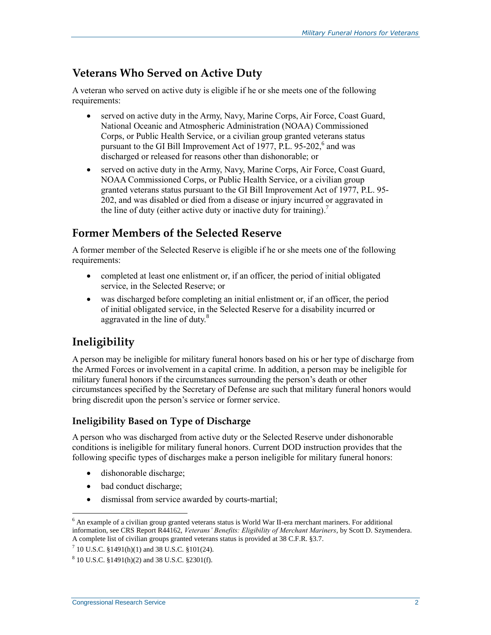#### **Veterans Who Served on Active Duty**

A veteran who served on active duty is eligible if he or she meets one of the following requirements:

- served on active duty in the Army, Navy, Marine Corps, Air Force, Coast Guard, National Oceanic and Atmospheric Administration (NOAA) Commissioned Corps, or Public Health Service, or a civilian group granted veterans status pursuant to the GI Bill Improvement Act of 1977, P.L. 95-202,<sup>6</sup> and was discharged or released for reasons other than dishonorable; or
- served on active duty in the Army, Navy, Marine Corps, Air Force, Coast Guard, NOAA Commissioned Corps, or Public Health Service, or a civilian group granted veterans status pursuant to the GI Bill Improvement Act of 1977, P.L. 95- 202, and was disabled or died from a disease or injury incurred or aggravated in the line of duty (either active duty or inactive duty for training).<sup>7</sup>

#### **Former Members of the Selected Reserve**

A former member of the Selected Reserve is eligible if he or she meets one of the following requirements:

- completed at least one enlistment or, if an officer, the period of initial obligated service, in the Selected Reserve; or
- was discharged before completing an initial enlistment or, if an officer, the period of initial obligated service, in the Selected Reserve for a disability incurred or aggravated in the line of duty.<sup>8</sup>

#### **Ineligibility**

A person may be ineligible for military funeral honors based on his or her type of discharge from the Armed Forces or involvement in a capital crime. In addition, a person may be ineligible for military funeral honors if the circumstances surrounding the person's death or other circumstances specified by the Secretary of Defense are such that military funeral honors would bring discredit upon the person's service or former service.

#### **Ineligibility Based on Type of Discharge**

A person who was discharged from active duty or the Selected Reserve under dishonorable conditions is ineligible for military funeral honors. Current DOD instruction provides that the following specific types of discharges make a person ineligible for military funeral honors:

- dishonorable discharge;
- bad conduct discharge;
- dismissal from service awarded by courts-martial;

 $\overline{a}$ 

 $<sup>6</sup>$  An example of a civilian group granted veterans status is World War II-era merchant mariners. For additional</sup> information, see CRS Report R44162, *Veterans' Benefits: Eligibility of Merchant Mariners*, by Scott D. Szymendera. A complete list of civilian groups granted veterans status is provided at 38 C.F.R. §3.7.

 $7$  10 U.S.C. §1491(h)(1) and 38 U.S.C. §101(24).

 $8\,$  10 U.S.C.  $\S$ 1491(h)(2) and 38 U.S.C.  $\S$ 2301(f).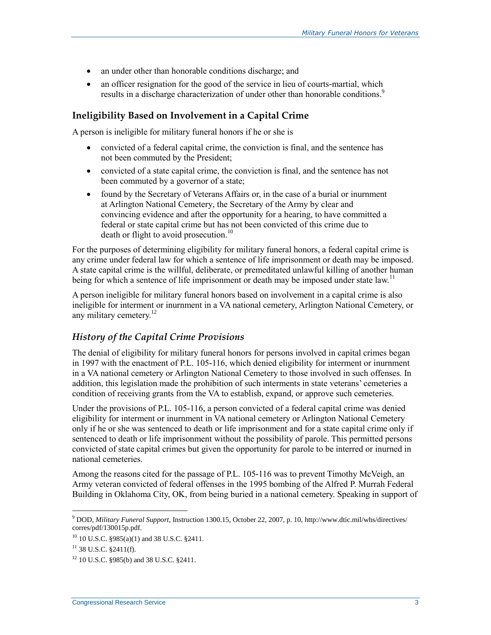- an under other than honorable conditions discharge; and
- an officer resignation for the good of the service in lieu of courts-martial, which results in a discharge characterization of under other than honorable conditions.<sup>9</sup>

#### **Ineligibility Based on Involvement in a Capital Crime**

A person is ineligible for military funeral honors if he or she is

- convicted of a federal capital crime, the conviction is final, and the sentence has not been commuted by the President;
- convicted of a state capital crime, the conviction is final, and the sentence has not been commuted by a governor of a state;
- found by the Secretary of Veterans Affairs or, in the case of a burial or inurnment at Arlington National Cemetery, the Secretary of the Army by clear and convincing evidence and after the opportunity for a hearing, to have committed a federal or state capital crime but has not been convicted of this crime due to death or flight to avoid prosecution.<sup>10</sup>

For the purposes of determining eligibility for military funeral honors, a federal capital crime is any crime under federal law for which a sentence of life imprisonment or death may be imposed. A state capital crime is the willful, deliberate, or premeditated unlawful killing of another human being for which a sentence of life imprisonment or death may be imposed under state law.<sup>11</sup>

A person ineligible for military funeral honors based on involvement in a capital crime is also ineligible for interment or inurnment in a VA national cemetery, Arlington National Cemetery, or any military cemetery.<sup>12</sup>

#### *History of the Capital Crime Provisions*

The denial of eligibility for military funeral honors for persons involved in capital crimes began in 1997 with the enactment of P.L. 105-116, which denied eligibility for interment or inurnment in a VA national cemetery or Arlington National Cemetery to those involved in such offenses. In addition, this legislation made the prohibition of such interments in state veterans' cemeteries a condition of receiving grants from the VA to establish, expand, or approve such cemeteries.

Under the provisions of P.L. 105-116, a person convicted of a federal capital crime was denied eligibility for interment or inurnment in VA national cemetery or Arlington National Cemetery only if he or she was sentenced to death or life imprisonment and for a state capital crime only if sentenced to death or life imprisonment without the possibility of parole. This permitted persons convicted of state capital crimes but given the opportunity for parole to be interred or inurned in national cemeteries.

Among the reasons cited for the passage of P.L. 105-116 was to prevent Timothy McVeigh, an Army veteran convicted of federal offenses in the 1995 bombing of the Alfred P. Murrah Federal Building in Oklahoma City, OK, from being buried in a national cemetery. Speaking in support of

 $\overline{a}$ 

<sup>9</sup> DOD, *Military Funeral Support*, Instruction 1300.15, October 22, 2007, p. 10, http://www.dtic.mil/whs/directives/ corres/pdf/130015p.pdf.

<sup>10</sup> 10 U.S.C. §985(a)(1) and 38 U.S.C. §2411.

 $11$  38 U.S.C. §2411(f).

<sup>12</sup> 10 U.S.C. §985(b) and 38 U.S.C. §2411.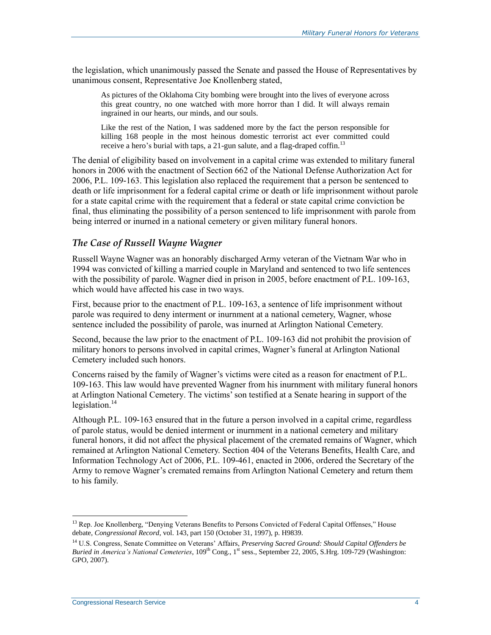the legislation, which unanimously passed the Senate and passed the House of Representatives by unanimous consent, Representative Joe Knollenberg stated,

As pictures of the Oklahoma City bombing were brought into the lives of everyone across this great country, no one watched with more horror than I did. It will always remain ingrained in our hearts, our minds, and our souls.

Like the rest of the Nation, I was saddened more by the fact the person responsible for killing 168 people in the most heinous domestic terrorist act ever committed could receive a hero's burial with taps, a  $21$ -gun salute, and a flag-draped coffin.<sup>13</sup>

The denial of eligibility based on involvement in a capital crime was extended to military funeral honors in 2006 with the enactment of Section 662 of the National Defense Authorization Act for 2006, P.L. 109-163. This legislation also replaced the requirement that a person be sentenced to death or life imprisonment for a federal capital crime or death or life imprisonment without parole for a state capital crime with the requirement that a federal or state capital crime conviction be final, thus eliminating the possibility of a person sentenced to life imprisonment with parole from being interred or inurned in a national cemetery or given military funeral honors.

#### *The Case of Russell Wayne Wagner*

Russell Wayne Wagner was an honorably discharged Army veteran of the Vietnam War who in 1994 was convicted of killing a married couple in Maryland and sentenced to two life sentences with the possibility of parole. Wagner died in prison in 2005, before enactment of P.L. 109-163, which would have affected his case in two ways.

First, because prior to the enactment of P.L. 109-163, a sentence of life imprisonment without parole was required to deny interment or inurnment at a national cemetery, Wagner, whose sentence included the possibility of parole, was inurned at Arlington National Cemetery.

Second, because the law prior to the enactment of P.L. 109-163 did not prohibit the provision of military honors to persons involved in capital crimes, Wagner's funeral at Arlington National Cemetery included such honors.

Concerns raised by the family of Wagner's victims were cited as a reason for enactment of P.L. 109-163. This law would have prevented Wagner from his inurnment with military funeral honors at Arlington National Cemetery. The victims'son testified at a Senate hearing in support of the legislation. $14$ 

Although P.L. 109-163 ensured that in the future a person involved in a capital crime, regardless of parole status, would be denied interment or inurnment in a national cemetery and military funeral honors, it did not affect the physical placement of the cremated remains of Wagner, which remained at Arlington National Cemetery. Section 404 of the Veterans Benefits, Health Care, and Information Technology Act of 2006, P.L. 109-461, enacted in 2006, ordered the Secretary of the Army to remove Wagner's cremated remains from Arlington National Cemetery and return them to his family.

 $\overline{a}$ <sup>13</sup> Rep. Joe Knollenberg, "Denying Veterans Benefits to Persons Convicted of Federal Capital Offenses," House debate, *Congressional Record*, vol. 143, part 150 (October 31, 1997), p. H9839.

<sup>14</sup> U.S. Congress, Senate Committee on Veterans' Affairs, *Preserving Sacred Ground: Should Capital Offenders be Buried in America's National Cemeteries*, 109<sup>th</sup> Cong., 1<sup>st</sup> sess., September 22, 2005, S.Hrg. 109-729 (Washington: GPO, 2007).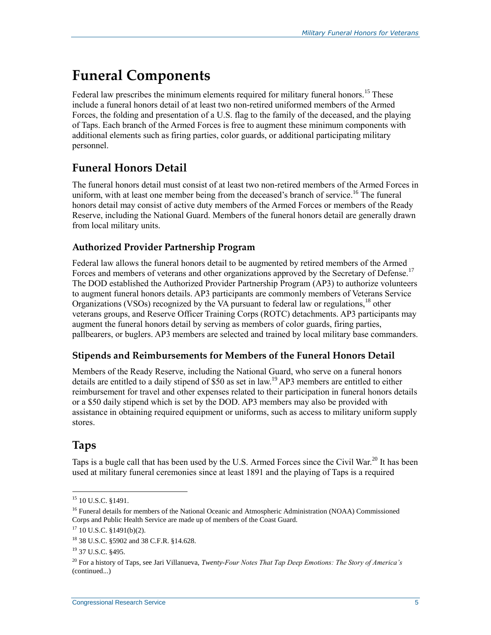## **Funeral Components**

Federal law prescribes the minimum elements required for military funeral honors.<sup>15</sup> These include a funeral honors detail of at least two non-retired uniformed members of the Armed Forces, the folding and presentation of a U.S. flag to the family of the deceased, and the playing of Taps. Each branch of the Armed Forces is free to augment these minimum components with additional elements such as firing parties, color guards, or additional participating military personnel.

### **Funeral Honors Detail**

The funeral honors detail must consist of at least two non-retired members of the Armed Forces in uniform, with at least one member being from the deceased's branch of service.<sup>16</sup> The funeral honors detail may consist of active duty members of the Armed Forces or members of the Ready Reserve, including the National Guard. Members of the funeral honors detail are generally drawn from local military units.

#### **Authorized Provider Partnership Program**

Federal law allows the funeral honors detail to be augmented by retired members of the Armed Forces and members of veterans and other organizations approved by the Secretary of Defense.<sup>17</sup> The DOD established the Authorized Provider Partnership Program (AP3) to authorize volunteers to augment funeral honors details. AP3 participants are commonly members of Veterans Service Organizations (VSOs) recognized by the VA pursuant to federal law or regulations,<sup>18</sup> other veterans groups, and Reserve Officer Training Corps (ROTC) detachments. AP3 participants may augment the funeral honors detail by serving as members of color guards, firing parties, pallbearers, or buglers. AP3 members are selected and trained by local military base commanders.

#### **Stipends and Reimbursements for Members of the Funeral Honors Detail**

Members of the Ready Reserve, including the National Guard, who serve on a funeral honors details are entitled to a daily stipend of \$50 as set in law.<sup>19</sup> AP3 members are entitled to either reimbursement for travel and other expenses related to their participation in funeral honors details or a \$50 daily stipend which is set by the DOD. AP3 members may also be provided with assistance in obtaining required equipment or uniforms, such as access to military uniform supply stores.

### **Taps**

 $\overline{a}$ 

Taps is a bugle call that has been used by the U.S. Armed Forces since the Civil War.<sup>20</sup> It has been used at military funeral ceremonies since at least 1891 and the playing of Taps is a required

<sup>&</sup>lt;sup>15</sup> 10 U.S.C. §1491.

<sup>&</sup>lt;sup>16</sup> Funeral details for members of the National Oceanic and Atmospheric Administration (NOAA) Commissioned Corps and Public Health Service are made up of members of the Coast Guard.

 $17$  10 U.S.C. §1491(b)(2).

<sup>18</sup> 38 U.S.C. §5902 and 38 C.F.R. §14.628.

<sup>19</sup> 37 U.S.C. §495.

<sup>20</sup> For a history of Taps, see Jari Villanueva, *Twenty-Four Notes That Tap Deep Emotions: The Story of America's*  (continued...)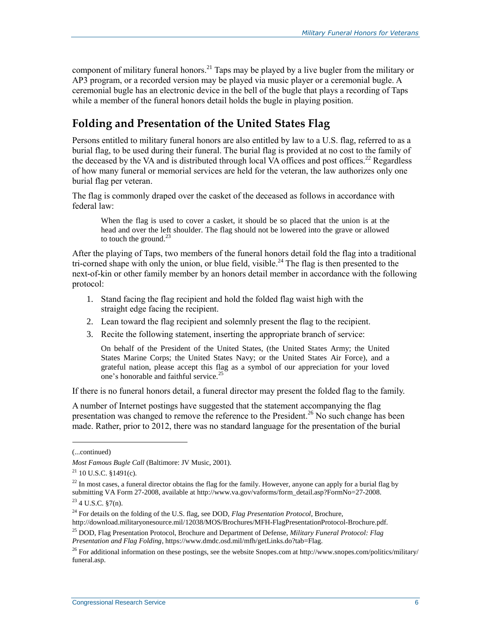component of military funeral honors.<sup>21</sup> Taps may be played by a live bugler from the military or AP3 program, or a recorded version may be played via music player or a ceremonial bugle. A ceremonial bugle has an electronic device in the bell of the bugle that plays a recording of Taps while a member of the funeral honors detail holds the bugle in playing position.

### **Folding and Presentation of the United States Flag**

Persons entitled to military funeral honors are also entitled by law to a U.S. flag, referred to as a burial flag, to be used during their funeral. The burial flag is provided at no cost to the family of the deceased by the VA and is distributed through local VA offices and post offices.<sup>22</sup> Regardless of how many funeral or memorial services are held for the veteran, the law authorizes only one burial flag per veteran.

The flag is commonly draped over the casket of the deceased as follows in accordance with federal law:

When the flag is used to cover a casket, it should be so placed that the union is at the head and over the left shoulder. The flag should not be lowered into the grave or allowed to touch the ground. $^{23}$ 

After the playing of Taps, two members of the funeral honors detail fold the flag into a traditional tri-corned shape with only the union, or blue field, visible.<sup>24</sup> The flag is then presented to the next-of-kin or other family member by an honors detail member in accordance with the following protocol:

- 1. Stand facing the flag recipient and hold the folded flag waist high with the straight edge facing the recipient.
- 2. Lean toward the flag recipient and solemnly present the flag to the recipient.
- 3. Recite the following statement, inserting the appropriate branch of service:

On behalf of the President of the United States, (the United States Army; the United States Marine Corps; the United States Navy; or the United States Air Force), and a grateful nation, please accept this flag as a symbol of our appreciation for your loved one's honorable and faithful service.<sup>25</sup>

If there is no funeral honors detail, a funeral director may present the folded flag to the family.

A number of Internet postings have suggested that the statement accompanying the flag presentation was changed to remove the reference to the President.<sup>26</sup> No such change has been made. Rather, prior to 2012, there was no standard language for the presentation of the burial

 $\overline{a}$ 

http://download.militaryonesource.mil/12038/MOS/Brochures/MFH-FlagPresentationProtocol-Brochure.pdf.

<sup>(...</sup>continued)

*Most Famous Bugle Call* (Baltimore: JV Music, 2001).

 $21$  10 U.S.C. §1491(c).

<sup>&</sup>lt;sup>22</sup> In most cases, a funeral director obtains the flag for the family. However, anyone can apply for a burial flag by submitting VA Form 27-2008, available at http://www.va.gov/vaforms/form\_detail.asp?FormNo=27-2008.

 $23$  4 U.S.C.  $\S7(n)$ .

<sup>24</sup> For details on the folding of the U.S. flag, see DOD, *Flag Presentation Protocol*, Brochure,

<sup>25</sup> DOD, Flag Presentation Protocol, Brochure and Department of Defense, *Military Funeral Protocol: Flag Presentation and Flag Folding*, https://www.dmdc.osd.mil/mfh/getLinks.do?tab=Flag.

<sup>&</sup>lt;sup>26</sup> For additional information on these postings, see the website Snopes.com at http://www.snopes.com/politics/military/ funeral.asp.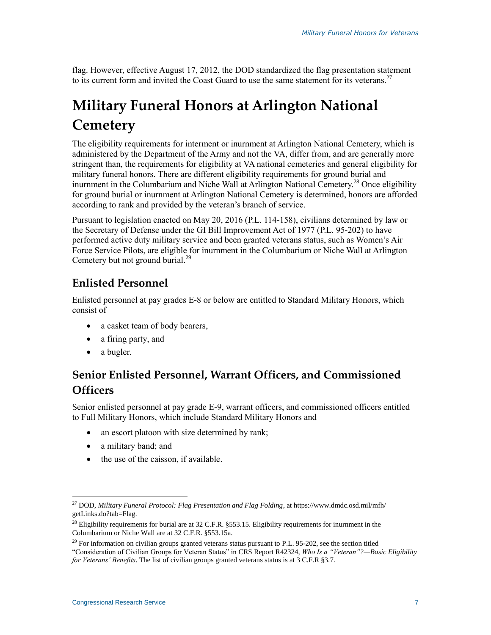flag. However, effective August 17, 2012, the DOD standardized the flag presentation statement to its current form and invited the Coast Guard to use the same statement for its veterans.<sup>27</sup>

## **Military Funeral Honors at Arlington National Cemetery**

The eligibility requirements for interment or inurnment at Arlington National Cemetery, which is administered by the Department of the Army and not the VA, differ from, and are generally more stringent than, the requirements for eligibility at VA national cemeteries and general eligibility for military funeral honors. There are different eligibility requirements for ground burial and inurnment in the Columbarium and Niche Wall at Arlington National Cemetery.<sup>28</sup> Once eligibility for ground burial or inurnment at Arlington National Cemetery is determined, honors are afforded according to rank and provided by the veteran's branch of service.

Pursuant to legislation enacted on May 20, 2016 (P.L. 114-158), civilians determined by law or the Secretary of Defense under the GI Bill Improvement Act of 1977 (P.L. 95-202) to have performed active duty military service and been granted veterans status, such as Women's Air Force Service Pilots, are eligible for inurnment in the Columbarium or Niche Wall at Arlington Cemetery but not ground burial.<sup>29</sup>

### **Enlisted Personnel**

Enlisted personnel at pay grades E-8 or below are entitled to Standard Military Honors, which consist of

- a casket team of body bearers,
- a firing party, and
- a bugler.

 $\overline{a}$ 

#### **Senior Enlisted Personnel, Warrant Officers, and Commissioned Officers**

Senior enlisted personnel at pay grade E-9, warrant officers, and commissioned officers entitled to Full Military Honors, which include Standard Military Honors and

- an escort platoon with size determined by rank;
- a military band; and
- the use of the caisson, if available.

<sup>27</sup> DOD, *Military Funeral Protocol: Flag Presentation and Flag Folding*, at https://www.dmdc.osd.mil/mfh/ getLinks.do?tab=Flag.

 $^{28}$  Eligibility requirements for burial are at 32 C.F.R. §553.15. Eligibility requirements for inurnment in the Columbarium or Niche Wall are at 32 C.F.R. §553.15a.

 $^{29}$  For information on civilian groups granted veterans status pursuant to P.L. 95-202, see the section titled "Consideration of Civilian Groups for Veteran Status" in CRS Report R42324, *Who Is a "Veteran"?—Basic Eligibility* 

*for Veterans' Benefits*. The list of civilian groups granted veterans status is at 3 C.F.R §3.7.